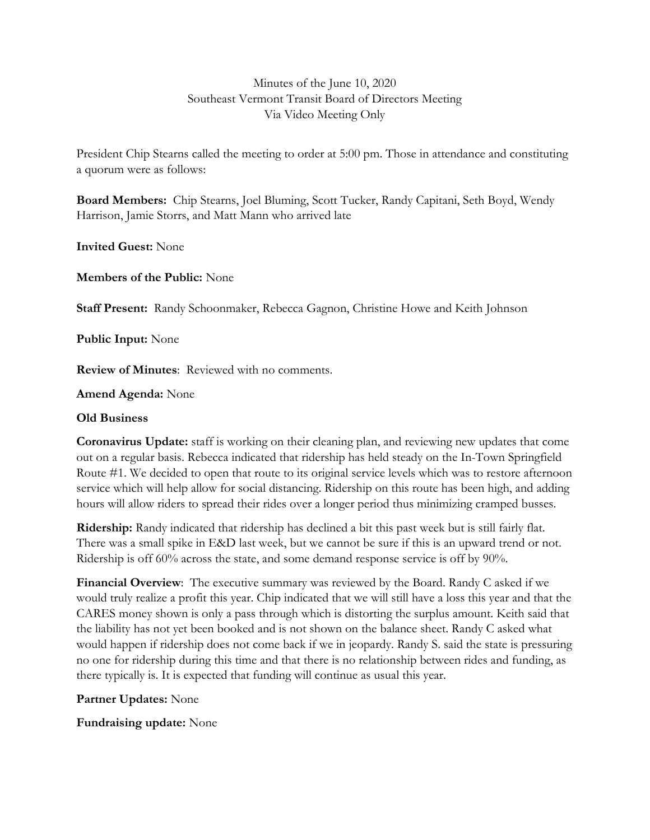## Minutes of the June 10, 2020 Southeast Vermont Transit Board of Directors Meeting Via Video Meeting Only

President Chip Stearns called the meeting to order at 5:00 pm. Those in attendance and constituting a quorum were as follows:

**Board Members:** Chip Stearns, Joel Bluming, Scott Tucker, Randy Capitani, Seth Boyd, Wendy Harrison, Jamie Storrs, and Matt Mann who arrived late

**Invited Guest:** None

**Members of the Public:** None

**Staff Present:** Randy Schoonmaker, Rebecca Gagnon, Christine Howe and Keith Johnson

**Public Input:** None

**Review of Minutes**: Reviewed with no comments.

**Amend Agenda:** None

## **Old Business**

**Coronavirus Update:** staff is working on their cleaning plan, and reviewing new updates that come out on a regular basis. Rebecca indicated that ridership has held steady on the In-Town Springfield Route #1. We decided to open that route to its original service levels which was to restore afternoon service which will help allow for social distancing. Ridership on this route has been high, and adding hours will allow riders to spread their rides over a longer period thus minimizing cramped busses.

**Ridership:** Randy indicated that ridership has declined a bit this past week but is still fairly flat. There was a small spike in E&D last week, but we cannot be sure if this is an upward trend or not. Ridership is off 60% across the state, and some demand response service is off by 90%.

**Financial Overview**: The executive summary was reviewed by the Board. Randy C asked if we would truly realize a profit this year. Chip indicated that we will still have a loss this year and that the CARES money shown is only a pass through which is distorting the surplus amount. Keith said that the liability has not yet been booked and is not shown on the balance sheet. Randy C asked what would happen if ridership does not come back if we in jeopardy. Randy S. said the state is pressuring no one for ridership during this time and that there is no relationship between rides and funding, as there typically is. It is expected that funding will continue as usual this year.

**Partner Updates:** None

**Fundraising update:** None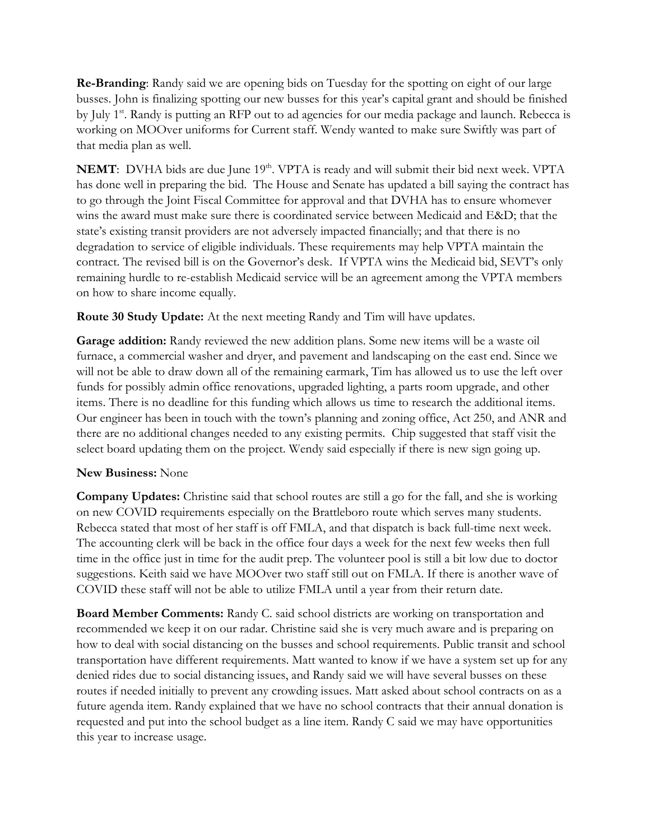**Re-Branding**: Randy said we are opening bids on Tuesday for the spotting on eight of our large busses. John is finalizing spotting our new busses for this year's capital grant and should be finished by July 1<sup>st</sup>. Randy is putting an RFP out to ad agencies for our media package and launch. Rebecca is working on MOOver uniforms for Current staff. Wendy wanted to make sure Swiftly was part of that media plan as well.

NEMT: DVHA bids are due June 19<sup>th</sup>. VPTA is ready and will submit their bid next week. VPTA has done well in preparing the bid. The House and Senate has updated a bill saying the contract has to go through the Joint Fiscal Committee for approval and that DVHA has to ensure whomever wins the award must make sure there is coordinated service between Medicaid and E&D; that the state's existing transit providers are not adversely impacted financially; and that there is no degradation to service of eligible individuals. These requirements may help VPTA maintain the contract. The revised bill is on the Governor's desk. If VPTA wins the Medicaid bid, SEVT's only remaining hurdle to re-establish Medicaid service will be an agreement among the VPTA members on how to share income equally.

**Route 30 Study Update:** At the next meeting Randy and Tim will have updates.

**Garage addition:** Randy reviewed the new addition plans. Some new items will be a waste oil furnace, a commercial washer and dryer, and pavement and landscaping on the east end. Since we will not be able to draw down all of the remaining earmark, Tim has allowed us to use the left over funds for possibly admin office renovations, upgraded lighting, a parts room upgrade, and other items. There is no deadline for this funding which allows us time to research the additional items. Our engineer has been in touch with the town's planning and zoning office, Act 250, and ANR and there are no additional changes needed to any existing permits. Chip suggested that staff visit the select board updating them on the project. Wendy said especially if there is new sign going up.

## **New Business:** None

**Company Updates:** Christine said that school routes are still a go for the fall, and she is working on new COVID requirements especially on the Brattleboro route which serves many students. Rebecca stated that most of her staff is off FMLA, and that dispatch is back full-time next week. The accounting clerk will be back in the office four days a week for the next few weeks then full time in the office just in time for the audit prep. The volunteer pool is still a bit low due to doctor suggestions. Keith said we have MOOver two staff still out on FMLA. If there is another wave of COVID these staff will not be able to utilize FMLA until a year from their return date.

**Board Member Comments:** Randy C. said school districts are working on transportation and recommended we keep it on our radar. Christine said she is very much aware and is preparing on how to deal with social distancing on the busses and school requirements. Public transit and school transportation have different requirements. Matt wanted to know if we have a system set up for any denied rides due to social distancing issues, and Randy said we will have several busses on these routes if needed initially to prevent any crowding issues. Matt asked about school contracts on as a future agenda item. Randy explained that we have no school contracts that their annual donation is requested and put into the school budget as a line item. Randy C said we may have opportunities this year to increase usage.